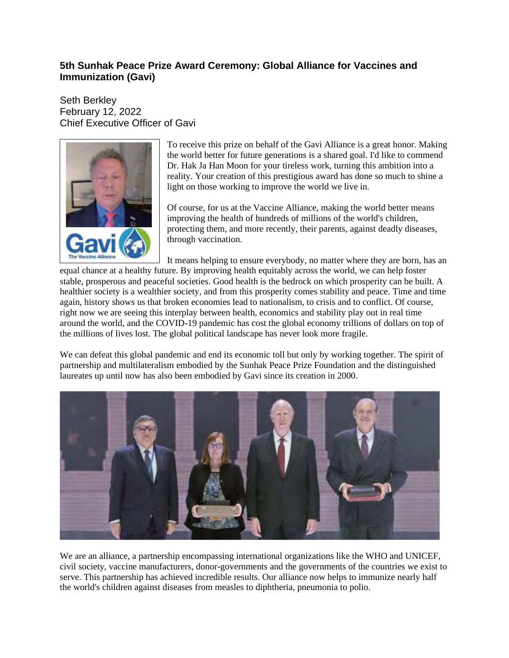## **5th Sunhak Peace Prize Award Ceremony: Global Alliance for Vaccines and Immunization (Gavi)**

Seth Berkley February 12, 2022 Chief Executive Officer of Gavi



To receive this prize on behalf of the Gavi Alliance is a great honor. Making the world better for future generations is a shared goal. I'd like to commend Dr. Hak Ja Han Moon for your tireless work, turning this ambition into a reality. Your creation of this prestigious award has done so much to shine a light on those working to improve the world we live in.

Of course, for us at the Vaccine Alliance, making the world better means improving the health of hundreds of millions of the world's children, protecting them, and more recently, their parents, against deadly diseases, through vaccination.

It means helping to ensure everybody, no matter where they are born, has an

equal chance at a healthy future. By improving health equitably across the world, we can help foster stable, prosperous and peaceful societies. Good health is the bedrock on which prosperity can be built. A healthier society is a wealthier society, and from this prosperity comes stability and peace. Time and time again, history shows us that broken economies lead to nationalism, to crisis and to conflict. Of course, right now we are seeing this interplay between health, economics and stability play out in real time around the world, and the COVID-19 pandemic has cost the global economy trillions of dollars on top of the millions of lives lost. The global political landscape has never look more fragile.

We can defeat this global pandemic and end its economic toll but only by working together. The spirit of partnership and multilateralism embodied by the Sunhak Peace Prize Foundation and the distinguished laureates up until now has also been embodied by Gavi since its creation in 2000.



We are an alliance, a partnership encompassing international organizations like the WHO and UNICEF, civil society, vaccine manufacturers, donor-governments and the governments of the countries we exist to serve. This partnership has achieved incredible results. Our alliance now helps to immunize nearly half the world's children against diseases from measles to diphtheria, pneumonia to polio.